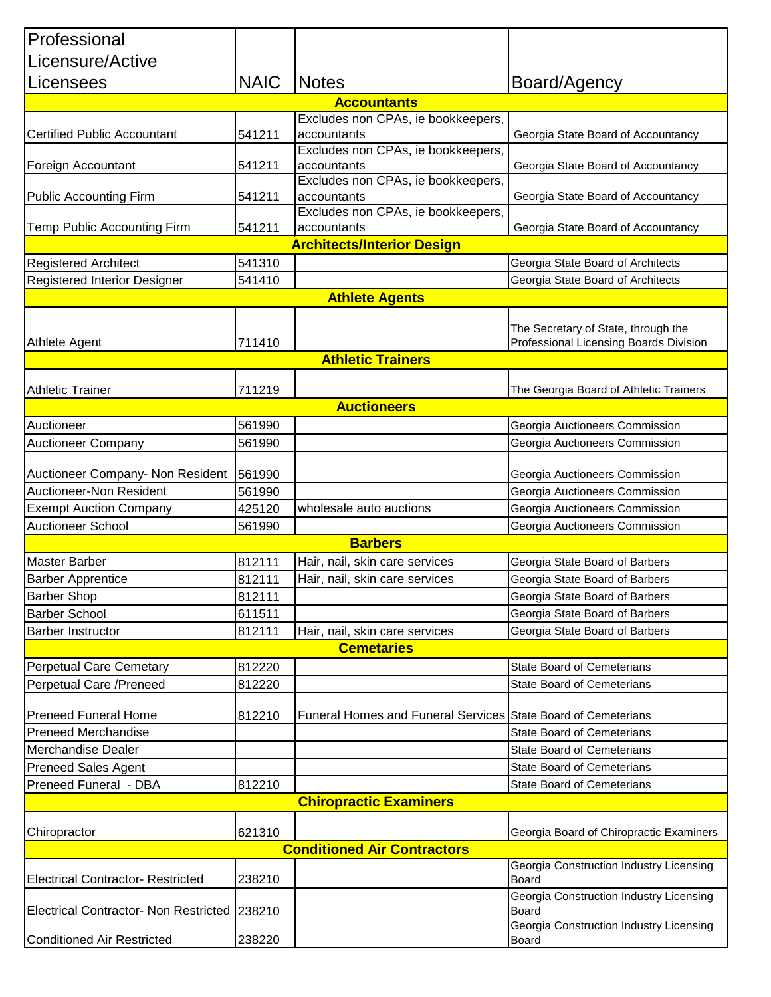| Professional                                 |             |                                                               |                                                                               |  |
|----------------------------------------------|-------------|---------------------------------------------------------------|-------------------------------------------------------------------------------|--|
| Licensure/Active                             |             |                                                               |                                                                               |  |
| Licensees                                    | <b>NAIC</b> | <b>Notes</b>                                                  | Board/Agency                                                                  |  |
|                                              |             | <b>Accountants</b>                                            |                                                                               |  |
|                                              |             | Excludes non CPAs, ie bookkeepers,                            |                                                                               |  |
| <b>Certified Public Accountant</b>           | 541211      | accountants                                                   | Georgia State Board of Accountancy                                            |  |
| Foreign Accountant                           | 541211      | Excludes non CPAs, ie bookkeepers,<br>accountants             | Georgia State Board of Accountancy                                            |  |
|                                              |             | Excludes non CPAs, ie bookkeepers,                            |                                                                               |  |
| <b>Public Accounting Firm</b>                | 541211      | accountants<br>Excludes non CPAs, ie bookkeepers,             | Georgia State Board of Accountancy                                            |  |
| Temp Public Accounting Firm                  | 541211      | accountants                                                   | Georgia State Board of Accountancy                                            |  |
|                                              |             | <b>Architects/Interior Design</b>                             |                                                                               |  |
| <b>Registered Architect</b>                  | 541310      |                                                               | Georgia State Board of Architects                                             |  |
| Registered Interior Designer                 | 541410      |                                                               | Georgia State Board of Architects                                             |  |
|                                              |             | <b>Athlete Agents</b>                                         |                                                                               |  |
|                                              |             |                                                               |                                                                               |  |
| Athlete Agent                                | 711410      |                                                               | The Secretary of State, through the<br>Professional Licensing Boards Division |  |
|                                              |             | <b>Athletic Trainers</b>                                      |                                                                               |  |
|                                              |             |                                                               |                                                                               |  |
| <b>Athletic Trainer</b>                      | 711219      |                                                               | The Georgia Board of Athletic Trainers                                        |  |
|                                              |             | <b>Auctioneers</b>                                            |                                                                               |  |
| Auctioneer                                   | 561990      |                                                               | Georgia Auctioneers Commission                                                |  |
| <b>Auctioneer Company</b>                    | 561990      |                                                               | Georgia Auctioneers Commission                                                |  |
| Auctioneer Company- Non Resident             | 561990      |                                                               | Georgia Auctioneers Commission                                                |  |
| Auctioneer-Non Resident                      | 561990      |                                                               | Georgia Auctioneers Commission                                                |  |
| <b>Exempt Auction Company</b>                | 425120      | wholesale auto auctions                                       | Georgia Auctioneers Commission                                                |  |
| <b>Auctioneer School</b>                     | 561990      |                                                               | Georgia Auctioneers Commission                                                |  |
| <b>Barbers</b>                               |             |                                                               |                                                                               |  |
| <b>Master Barber</b>                         | 812111      | Hair, nail, skin care services                                | Georgia State Board of Barbers                                                |  |
| <b>Barber Apprentice</b>                     | 812111      | Hair, nail, skin care services                                | Georgia State Board of Barbers                                                |  |
| <b>Barber Shop</b>                           | 812111      |                                                               | Georgia State Board of Barbers                                                |  |
| <b>Barber School</b>                         | 611511      |                                                               | Georgia State Board of Barbers                                                |  |
| <b>Barber Instructor</b>                     | 812111      | Hair, nail, skin care services                                | Georgia State Board of Barbers                                                |  |
|                                              |             | <b>Cemetaries</b>                                             |                                                                               |  |
| <b>Perpetual Care Cemetary</b>               | 812220      |                                                               | <b>State Board of Cemeterians</b>                                             |  |
| Perpetual Care / Preneed                     | 812220      |                                                               | <b>State Board of Cemeterians</b>                                             |  |
| <b>Preneed Funeral Home</b>                  | 812210      | Funeral Homes and Funeral Services State Board of Cemeterians |                                                                               |  |
| <b>Preneed Merchandise</b>                   |             |                                                               | <b>State Board of Cemeterians</b>                                             |  |
| <b>Merchandise Dealer</b>                    |             |                                                               | <b>State Board of Cemeterians</b>                                             |  |
| <b>Preneed Sales Agent</b>                   |             |                                                               | <b>State Board of Cemeterians</b>                                             |  |
| Preneed Funeral - DBA                        | 812210      |                                                               | <b>State Board of Cemeterians</b>                                             |  |
|                                              |             | <b>Chiropractic Examiners</b>                                 |                                                                               |  |
|                                              |             |                                                               |                                                                               |  |
| Chiropractor                                 | 621310      |                                                               | Georgia Board of Chiropractic Examiners                                       |  |
|                                              |             | <b>Conditioned Air Contractors</b>                            |                                                                               |  |
| <b>Electrical Contractor- Restricted</b>     | 238210      |                                                               | Georgia Construction Industry Licensing<br><b>Board</b>                       |  |
| <b>Electrical Contractor- Non Restricted</b> | 238210      |                                                               | Georgia Construction Industry Licensing<br>Board                              |  |
| <b>Conditioned Air Restricted</b>            | 238220      |                                                               | Georgia Construction Industry Licensing<br>Board                              |  |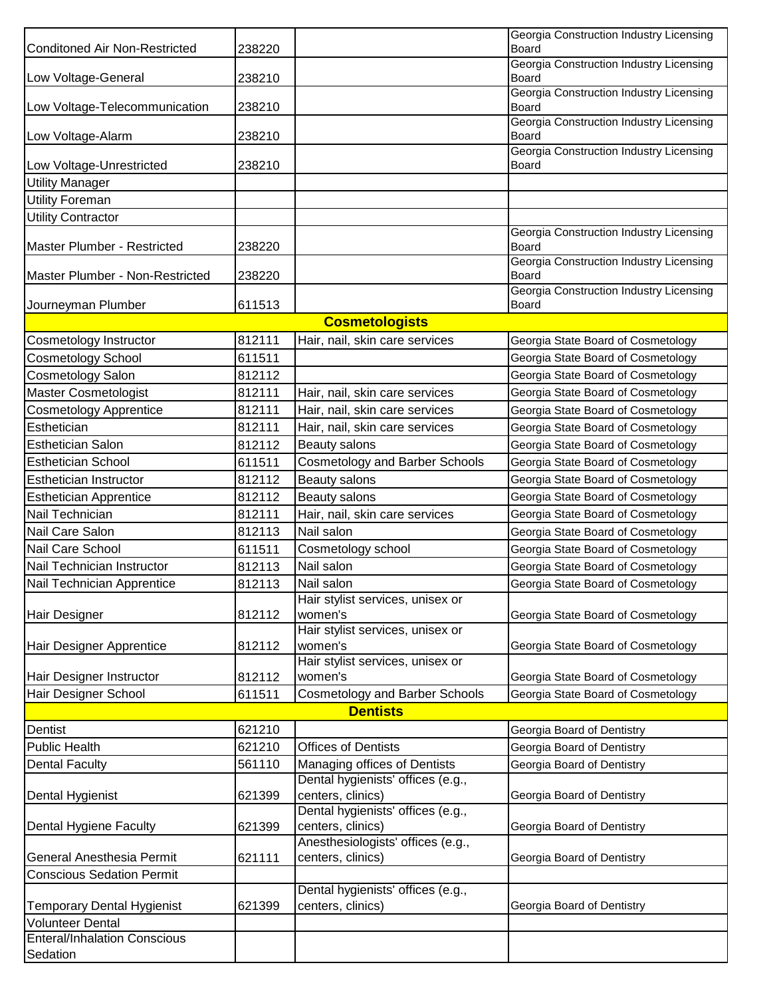| <b>Conditoned Air Non-Restricted</b>               | 238220 |                                                        | Georgia Construction Industry Licensing<br>Board |
|----------------------------------------------------|--------|--------------------------------------------------------|--------------------------------------------------|
| Low Voltage-General                                | 238210 |                                                        | Georgia Construction Industry Licensing<br>Board |
|                                                    | 238210 |                                                        | Georgia Construction Industry Licensing          |
| Low Voltage-Telecommunication                      |        |                                                        | Board<br>Georgia Construction Industry Licensing |
| Low Voltage-Alarm                                  | 238210 |                                                        | Board<br>Georgia Construction Industry Licensing |
| Low Voltage-Unrestricted<br><b>Utility Manager</b> | 238210 |                                                        | Board                                            |
| <b>Utility Foreman</b>                             |        |                                                        |                                                  |
|                                                    |        |                                                        |                                                  |
| <b>Utility Contractor</b>                          |        |                                                        | Georgia Construction Industry Licensing          |
| Master Plumber - Restricted                        | 238220 |                                                        | Board<br>Georgia Construction Industry Licensing |
| Master Plumber - Non-Restricted                    | 238220 |                                                        | Board                                            |
| Journeyman Plumber                                 | 611513 |                                                        | Georgia Construction Industry Licensing<br>Board |
|                                                    |        | <b>Cosmetologists</b>                                  |                                                  |
| Cosmetology Instructor                             | 812111 | Hair, nail, skin care services                         | Georgia State Board of Cosmetology               |
| <b>Cosmetology School</b>                          | 611511 |                                                        | Georgia State Board of Cosmetology               |
| Cosmetology Salon                                  | 812112 |                                                        | Georgia State Board of Cosmetology               |
| <b>Master Cosmetologist</b>                        | 812111 | Hair, nail, skin care services                         | Georgia State Board of Cosmetology               |
| <b>Cosmetology Apprentice</b>                      | 812111 | Hair, nail, skin care services                         | Georgia State Board of Cosmetology               |
| Esthetician                                        | 812111 | Hair, nail, skin care services                         | Georgia State Board of Cosmetology               |
| <b>Esthetician Salon</b>                           | 812112 | Beauty salons                                          | Georgia State Board of Cosmetology               |
| <b>Esthetician School</b>                          | 611511 | <b>Cosmetology and Barber Schools</b>                  | Georgia State Board of Cosmetology               |
| <b>Esthetician Instructor</b>                      | 812112 | Beauty salons                                          | Georgia State Board of Cosmetology               |
| <b>Esthetician Apprentice</b>                      | 812112 | Beauty salons                                          | Georgia State Board of Cosmetology               |
| Nail Technician                                    | 812111 | Hair, nail, skin care services                         | Georgia State Board of Cosmetology               |
| Nail Care Salon                                    | 812113 | Nail salon                                             | Georgia State Board of Cosmetology               |
| Nail Care School                                   | 611511 | Cosmetology school                                     | Georgia State Board of Cosmetology               |
| Nail Technician Instructor                         | 812113 | Nail salon                                             | Georgia State Board of Cosmetology               |
| Nail Technician Apprentice                         | 812113 | Nail salon                                             | Georgia State Board of Cosmetology               |
| Hair Designer                                      | 812112 | Hair stylist services, unisex or<br>women's            | Georgia State Board of Cosmetology               |
| Hair Designer Apprentice                           | 812112 | Hair stylist services, unisex or<br>women's            | Georgia State Board of Cosmetology               |
|                                                    |        | Hair stylist services, unisex or                       |                                                  |
| Hair Designer Instructor                           | 812112 | women's                                                | Georgia State Board of Cosmetology               |
| Hair Designer School                               | 611511 | <b>Cosmetology and Barber Schools</b>                  | Georgia State Board of Cosmetology               |
|                                                    |        | <b>Dentists</b>                                        |                                                  |
| Dentist                                            | 621210 |                                                        | Georgia Board of Dentistry                       |
| <b>Public Health</b>                               | 621210 | <b>Offices of Dentists</b>                             | Georgia Board of Dentistry                       |
| <b>Dental Faculty</b>                              | 561110 | Managing offices of Dentists                           | Georgia Board of Dentistry                       |
|                                                    |        | Dental hygienists' offices (e.g.,                      |                                                  |
| Dental Hygienist                                   | 621399 | centers, clinics)                                      | Georgia Board of Dentistry                       |
| Dental Hygiene Faculty                             | 621399 | Dental hygienists' offices (e.g.,<br>centers, clinics) | Georgia Board of Dentistry                       |
|                                                    |        | Anesthesiologists' offices (e.g.,                      |                                                  |
| General Anesthesia Permit                          | 621111 | centers, clinics)                                      | Georgia Board of Dentistry                       |
| <b>Conscious Sedation Permit</b>                   |        |                                                        |                                                  |
| <b>Temporary Dental Hygienist</b>                  | 621399 | Dental hygienists' offices (e.g.,<br>centers, clinics) | Georgia Board of Dentistry                       |
| <b>Volunteer Dental</b>                            |        |                                                        |                                                  |
| <b>Enteral/Inhalation Conscious</b>                |        |                                                        |                                                  |
| Sedation                                           |        |                                                        |                                                  |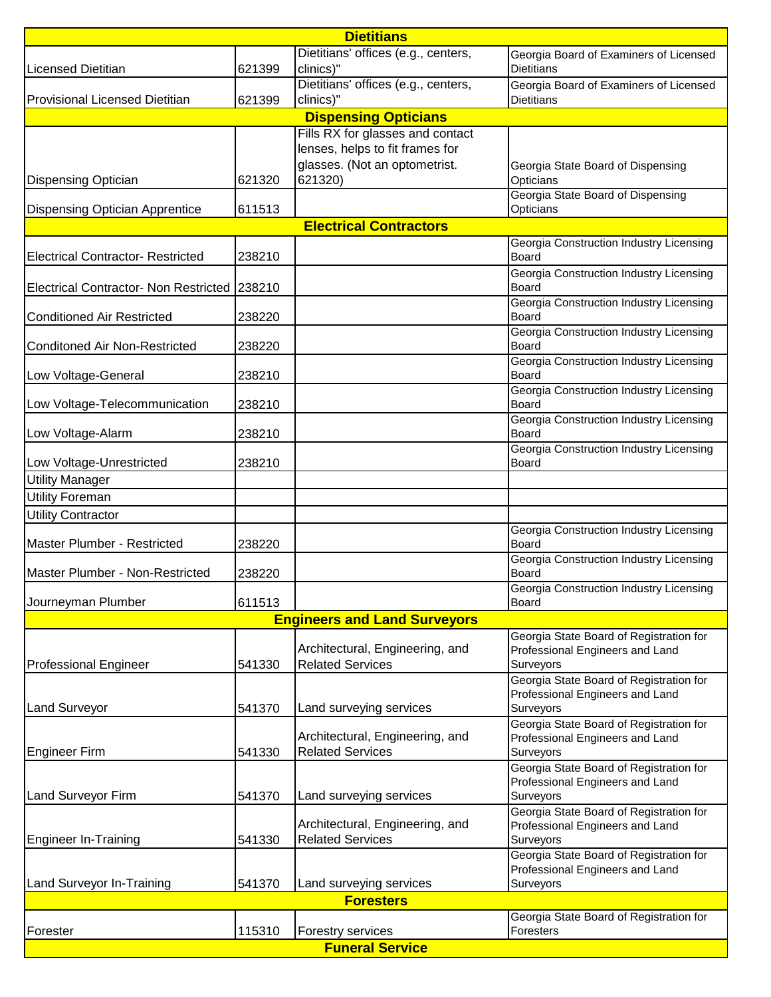| <b>Dietitians</b>                            |        |                                                            |                                                                                         |  |  |
|----------------------------------------------|--------|------------------------------------------------------------|-----------------------------------------------------------------------------------------|--|--|
| <b>Licensed Dietitian</b>                    | 621399 | Dietitians' offices (e.g., centers,<br>clinics)"           | Georgia Board of Examiners of Licensed<br><b>Dietitians</b>                             |  |  |
| <b>Provisional Licensed Dietitian</b>        | 621399 | Dietitians' offices (e.g., centers,<br>clinics)"           | Georgia Board of Examiners of Licensed<br><b>Dietitians</b>                             |  |  |
|                                              |        | <b>Dispensing Opticians</b>                                |                                                                                         |  |  |
|                                              |        | Fills RX for glasses and contact                           |                                                                                         |  |  |
|                                              |        | lenses, helps to fit frames for                            |                                                                                         |  |  |
| <b>Dispensing Optician</b>                   | 621320 | glasses. (Not an optometrist.<br>621320)                   | Georgia State Board of Dispensing<br>Opticians<br>Georgia State Board of Dispensing     |  |  |
| <b>Dispensing Optician Apprentice</b>        | 611513 |                                                            | Opticians                                                                               |  |  |
|                                              |        | <b>Electrical Contractors</b>                              |                                                                                         |  |  |
| <b>Electrical Contractor- Restricted</b>     | 238210 |                                                            | Georgia Construction Industry Licensing<br><b>Board</b>                                 |  |  |
| Electrical Contractor- Non Restricted 238210 |        |                                                            | Georgia Construction Industry Licensing<br><b>Board</b>                                 |  |  |
| <b>Conditioned Air Restricted</b>            | 238220 |                                                            | Georgia Construction Industry Licensing<br>Board                                        |  |  |
| <b>Conditoned Air Non-Restricted</b>         | 238220 |                                                            | Georgia Construction Industry Licensing<br>Board                                        |  |  |
| Low Voltage-General                          | 238210 |                                                            | Georgia Construction Industry Licensing<br>Board                                        |  |  |
| Low Voltage-Telecommunication                | 238210 |                                                            | Georgia Construction Industry Licensing<br>Board                                        |  |  |
| Low Voltage-Alarm                            | 238210 |                                                            | Georgia Construction Industry Licensing<br><b>Board</b>                                 |  |  |
| Low Voltage-Unrestricted                     | 238210 |                                                            | Georgia Construction Industry Licensing<br><b>Board</b>                                 |  |  |
| <b>Utility Manager</b>                       |        |                                                            |                                                                                         |  |  |
| <b>Utility Foreman</b>                       |        |                                                            |                                                                                         |  |  |
| <b>Utility Contractor</b>                    |        |                                                            |                                                                                         |  |  |
| Master Plumber - Restricted                  | 238220 |                                                            | Georgia Construction Industry Licensing<br>Board                                        |  |  |
| Master Plumber - Non-Restricted              | 238220 |                                                            | <b>Georgia Construction Industry Licensing</b><br>Board                                 |  |  |
| Journeyman Plumber                           | 611513 |                                                            | Georgia Construction Industry Licensing<br><b>Board</b>                                 |  |  |
| <b>Engineers and Land Surveyors</b>          |        |                                                            |                                                                                         |  |  |
|                                              |        | Architectural, Engineering, and                            | Georgia State Board of Registration for<br>Professional Engineers and Land              |  |  |
| <b>Professional Engineer</b>                 | 541330 | <b>Related Services</b>                                    | Surveyors<br>Georgia State Board of Registration for                                    |  |  |
| <b>Land Surveyor</b>                         | 541370 | Land surveying services                                    | Professional Engineers and Land<br>Surveyors                                            |  |  |
|                                              |        |                                                            | Georgia State Board of Registration for                                                 |  |  |
| <b>Engineer Firm</b>                         | 541330 | Architectural, Engineering, and<br><b>Related Services</b> | Professional Engineers and Land<br>Surveyors                                            |  |  |
|                                              |        |                                                            | Georgia State Board of Registration for<br>Professional Engineers and Land              |  |  |
| Land Surveyor Firm                           | 541370 | Land surveying services                                    | Surveyors                                                                               |  |  |
|                                              | 541330 | Architectural, Engineering, and<br><b>Related Services</b> | Georgia State Board of Registration for<br>Professional Engineers and Land<br>Surveyors |  |  |
| <b>Engineer In-Training</b>                  |        |                                                            | Georgia State Board of Registration for                                                 |  |  |
| Land Surveyor In-Training                    | 541370 | Land surveying services                                    | Professional Engineers and Land<br>Surveyors                                            |  |  |
|                                              |        | <b>Foresters</b>                                           |                                                                                         |  |  |
| Georgia State Board of Registration for      |        |                                                            |                                                                                         |  |  |
| Forester                                     | 115310 | Forestry services                                          | Foresters                                                                               |  |  |
| <b>Funeral Service</b>                       |        |                                                            |                                                                                         |  |  |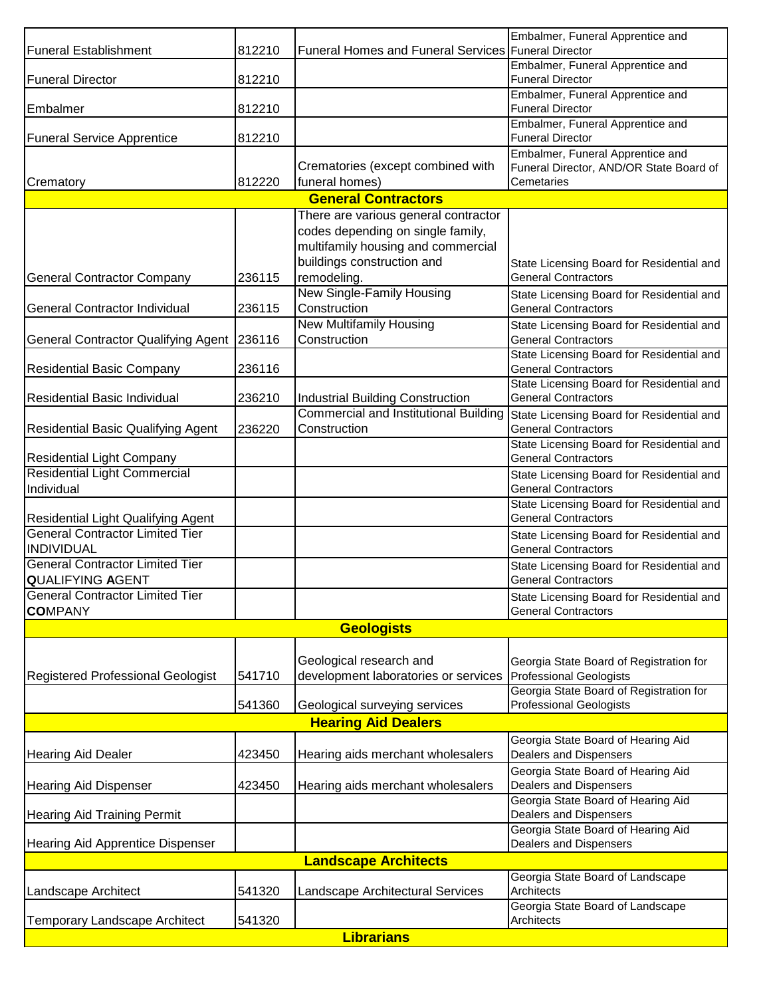| <b>Funeral Establishment</b>                                      | 812210 | <b>Funeral Homes and Funeral Services Funeral Director</b>                                                                                                   | Embalmer, Funeral Apprentice and                                                          |  |
|-------------------------------------------------------------------|--------|--------------------------------------------------------------------------------------------------------------------------------------------------------------|-------------------------------------------------------------------------------------------|--|
| <b>Funeral Director</b>                                           | 812210 |                                                                                                                                                              | Embalmer, Funeral Apprentice and<br><b>Funeral Director</b>                               |  |
| Embalmer                                                          | 812210 | Embalmer, Funeral Apprentice and<br><b>Funeral Director</b>                                                                                                  |                                                                                           |  |
| <b>Funeral Service Apprentice</b>                                 | 812210 |                                                                                                                                                              | Embalmer, Funeral Apprentice and<br><b>Funeral Director</b>                               |  |
| Crematory                                                         | 812220 | Crematories (except combined with<br>funeral homes)                                                                                                          | Embalmer, Funeral Apprentice and<br>Funeral Director, AND/OR State Board of<br>Cemetaries |  |
|                                                                   |        | <b>General Contractors</b>                                                                                                                                   |                                                                                           |  |
| <b>General Contractor Company</b>                                 | 236115 | There are various general contractor<br>codes depending on single family,<br>multifamily housing and commercial<br>buildings construction and<br>remodeling. | State Licensing Board for Residential and<br><b>General Contractors</b>                   |  |
| <b>General Contractor Individual</b>                              | 236115 | New Single-Family Housing<br>Construction                                                                                                                    | State Licensing Board for Residential and<br><b>General Contractors</b>                   |  |
|                                                                   |        | New Multifamily Housing                                                                                                                                      | State Licensing Board for Residential and                                                 |  |
| General Contractor Qualifying Agent   236116                      |        | Construction                                                                                                                                                 | <b>General Contractors</b>                                                                |  |
| <b>Residential Basic Company</b>                                  | 236116 |                                                                                                                                                              | State Licensing Board for Residential and<br><b>General Contractors</b>                   |  |
| Residential Basic Individual                                      | 236210 | Industrial Building Construction                                                                                                                             | State Licensing Board for Residential and<br><b>General Contractors</b>                   |  |
| <b>Residential Basic Qualifying Agent</b>                         | 236220 | <b>Commercial and Institutional Building</b><br>Construction                                                                                                 | State Licensing Board for Residential and<br><b>General Contractors</b>                   |  |
| <b>Residential Light Company</b>                                  |        |                                                                                                                                                              | State Licensing Board for Residential and<br><b>General Contractors</b>                   |  |
| <b>Residential Light Commercial</b><br>Individual                 |        |                                                                                                                                                              | State Licensing Board for Residential and<br><b>General Contractors</b>                   |  |
| Residential Light Qualifying Agent                                |        |                                                                                                                                                              | State Licensing Board for Residential and<br><b>General Contractors</b>                   |  |
| <b>General Contractor Limited Tier</b><br><b>INDIVIDUAL</b>       |        |                                                                                                                                                              | State Licensing Board for Residential and<br><b>General Contractors</b>                   |  |
| <b>General Contractor Limited Tier</b><br><b>QUALIFYING AGENT</b> |        |                                                                                                                                                              | State Licensing Board for Residential and<br><b>General Contractors</b>                   |  |
| <b>General Contractor Limited Tier</b><br><b>COMPANY</b>          |        |                                                                                                                                                              | State Licensing Board for Residential and<br><b>General Contractors</b>                   |  |
| <b>Geologists</b>                                                 |        |                                                                                                                                                              |                                                                                           |  |
| Registered Professional Geologist                                 | 541710 | Geological research and<br>development laboratories or services   Professional Geologists                                                                    | Georgia State Board of Registration for                                                   |  |
|                                                                   | 541360 | Geological surveying services                                                                                                                                | Georgia State Board of Registration for<br><b>Professional Geologists</b>                 |  |
| <b>Hearing Aid Dealers</b>                                        |        |                                                                                                                                                              |                                                                                           |  |
| <b>Hearing Aid Dealer</b>                                         | 423450 | Hearing aids merchant wholesalers                                                                                                                            | Georgia State Board of Hearing Aid<br>Dealers and Dispensers                              |  |
| <b>Hearing Aid Dispenser</b>                                      | 423450 | Hearing aids merchant wholesalers                                                                                                                            | Georgia State Board of Hearing Aid<br>Dealers and Dispensers                              |  |
| <b>Hearing Aid Training Permit</b>                                |        |                                                                                                                                                              | Georgia State Board of Hearing Aid<br>Dealers and Dispensers                              |  |
| <b>Hearing Aid Apprentice Dispenser</b>                           |        |                                                                                                                                                              | Georgia State Board of Hearing Aid<br>Dealers and Dispensers                              |  |
|                                                                   |        | <b>Landscape Architects</b>                                                                                                                                  |                                                                                           |  |
| Landscape Architect                                               | 541320 | Landscape Architectural Services                                                                                                                             | Georgia State Board of Landscape<br>Architects                                            |  |
| <b>Temporary Landscape Architect</b>                              | 541320 |                                                                                                                                                              | Georgia State Board of Landscape<br>Architects                                            |  |
| <b>Librarians</b>                                                 |        |                                                                                                                                                              |                                                                                           |  |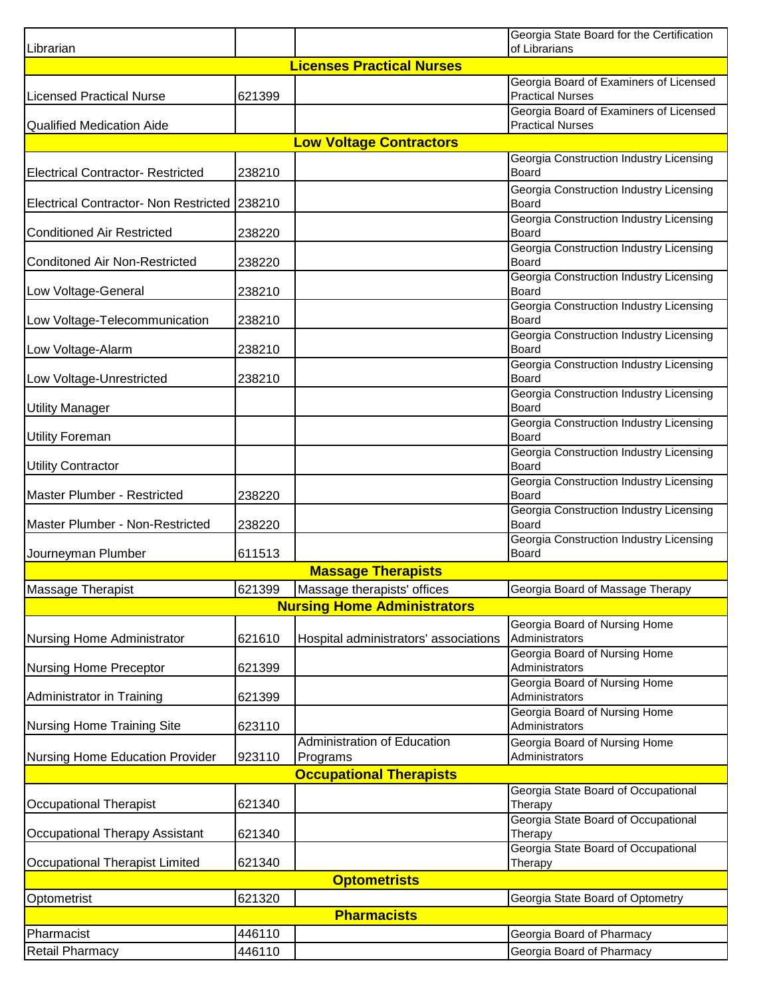|                                              |        |                                                | Georgia State Board for the Certification                         |  |
|----------------------------------------------|--------|------------------------------------------------|-------------------------------------------------------------------|--|
| Librarian                                    |        | <b>Licenses Practical Nurses</b>               | of Librarians                                                     |  |
|                                              |        |                                                | Georgia Board of Examiners of Licensed                            |  |
| <b>Licensed Practical Nurse</b>              | 621399 |                                                | <b>Practical Nurses</b>                                           |  |
| <b>Qualified Medication Aide</b>             |        |                                                | Georgia Board of Examiners of Licensed<br><b>Practical Nurses</b> |  |
|                                              |        | <b>Low Voltage Contractors</b>                 |                                                                   |  |
|                                              |        |                                                | Georgia Construction Industry Licensing                           |  |
| <b>Electrical Contractor- Restricted</b>     | 238210 |                                                | Board                                                             |  |
| Electrical Contractor- Non Restricted 238210 |        |                                                | Georgia Construction Industry Licensing<br>Board                  |  |
| <b>Conditioned Air Restricted</b>            | 238220 |                                                | Georgia Construction Industry Licensing<br>Board                  |  |
| <b>Conditoned Air Non-Restricted</b>         | 238220 |                                                | Georgia Construction Industry Licensing<br>Board                  |  |
| Low Voltage-General                          | 238210 |                                                | Georgia Construction Industry Licensing<br>Board                  |  |
| Low Voltage-Telecommunication                | 238210 |                                                | Georgia Construction Industry Licensing<br>Board                  |  |
| Low Voltage-Alarm                            | 238210 |                                                | Georgia Construction Industry Licensing<br>Board                  |  |
| Low Voltage-Unrestricted                     | 238210 |                                                | Georgia Construction Industry Licensing<br>Board                  |  |
| <b>Utility Manager</b>                       |        |                                                | Georgia Construction Industry Licensing<br><b>Board</b>           |  |
| <b>Utility Foreman</b>                       |        |                                                | Georgia Construction Industry Licensing<br><b>Board</b>           |  |
| <b>Utility Contractor</b>                    |        |                                                | Georgia Construction Industry Licensing<br>Board                  |  |
| Master Plumber - Restricted                  | 238220 |                                                | Georgia Construction Industry Licensing<br><b>Board</b>           |  |
| Master Plumber - Non-Restricted              | 238220 |                                                | Georgia Construction Industry Licensing<br><b>Board</b>           |  |
| Journeyman Plumber                           | 611513 |                                                | Georgia Construction Industry Licensing<br>Board                  |  |
|                                              |        | <b>Massage Therapists</b>                      |                                                                   |  |
| Massage Therapist                            | 621399 | Massage therapists' offices                    | Georgia Board of Massage Therapy                                  |  |
| <b>Nursing Home Administrators</b>           |        |                                                |                                                                   |  |
| Nursing Home Administrator                   | 621610 | Hospital administrators' associations          | Georgia Board of Nursing Home<br>Administrators                   |  |
| <b>Nursing Home Preceptor</b>                | 621399 |                                                | Georgia Board of Nursing Home<br>Administrators                   |  |
|                                              |        |                                                | Georgia Board of Nursing Home                                     |  |
| Administrator in Training                    | 621399 |                                                | Administrators                                                    |  |
| Nursing Home Training Site                   | 623110 |                                                | Georgia Board of Nursing Home<br>Administrators                   |  |
| Nursing Home Education Provider              | 923110 | <b>Administration of Education</b><br>Programs | Georgia Board of Nursing Home<br>Administrators                   |  |
|                                              |        | <b>Occupational Therapists</b>                 |                                                                   |  |
| Occupational Therapist                       | 621340 |                                                | Georgia State Board of Occupational<br>Therapy                    |  |
| <b>Occupational Therapy Assistant</b>        | 621340 |                                                | Georgia State Board of Occupational<br>Therapy                    |  |
| Occupational Therapist Limited               | 621340 |                                                | Georgia State Board of Occupational<br>Therapy                    |  |
|                                              |        | <b>Optometrists</b>                            |                                                                   |  |
| Optometrist                                  | 621320 |                                                | Georgia State Board of Optometry                                  |  |
| <b>Pharmacists</b>                           |        |                                                |                                                                   |  |
| Pharmacist                                   | 446110 |                                                | Georgia Board of Pharmacy                                         |  |
| <b>Retail Pharmacy</b>                       | 446110 |                                                | Georgia Board of Pharmacy                                         |  |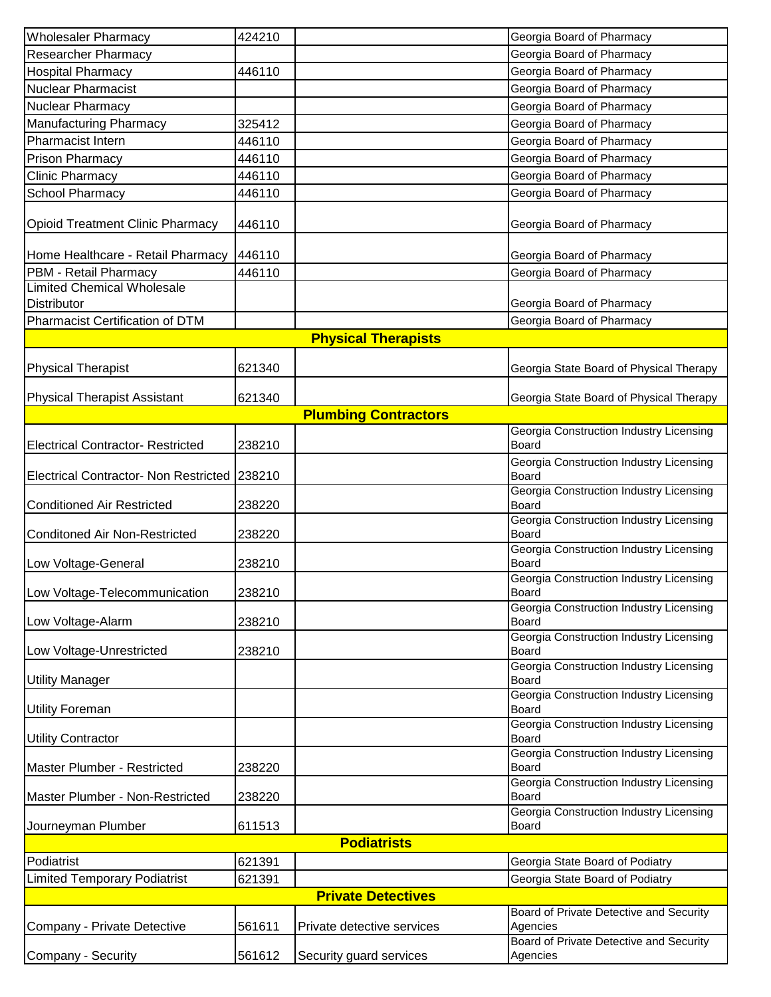| <b>Wholesaler Pharmacy</b>                   | 424210             |                             | Georgia Board of Pharmacy                               |  |  |
|----------------------------------------------|--------------------|-----------------------------|---------------------------------------------------------|--|--|
| <b>Researcher Pharmacy</b>                   |                    |                             | Georgia Board of Pharmacy                               |  |  |
| <b>Hospital Pharmacy</b>                     | 446110             |                             | Georgia Board of Pharmacy                               |  |  |
| <b>Nuclear Pharmacist</b>                    |                    |                             | Georgia Board of Pharmacy                               |  |  |
| Nuclear Pharmacy                             |                    |                             | Georgia Board of Pharmacy                               |  |  |
| <b>Manufacturing Pharmacy</b>                | 325412             |                             | Georgia Board of Pharmacy                               |  |  |
| Pharmacist Intern                            | 446110             |                             | Georgia Board of Pharmacy                               |  |  |
| Prison Pharmacy                              | 446110             |                             | Georgia Board of Pharmacy                               |  |  |
| Clinic Pharmacy                              | 446110             |                             | Georgia Board of Pharmacy                               |  |  |
| <b>School Pharmacy</b>                       | 446110             |                             | Georgia Board of Pharmacy                               |  |  |
| <b>Opioid Treatment Clinic Pharmacy</b>      | 446110             |                             | Georgia Board of Pharmacy                               |  |  |
| Home Healthcare - Retail Pharmacy            | 446110             |                             | Georgia Board of Pharmacy                               |  |  |
| PBM - Retail Pharmacy                        | 446110             |                             | Georgia Board of Pharmacy                               |  |  |
| <b>Limited Chemical Wholesale</b>            |                    |                             |                                                         |  |  |
| <b>Distributor</b>                           |                    |                             | Georgia Board of Pharmacy                               |  |  |
| <b>Pharmacist Certification of DTM</b>       |                    |                             | Georgia Board of Pharmacy                               |  |  |
|                                              |                    | <b>Physical Therapists</b>  |                                                         |  |  |
| <b>Physical Therapist</b>                    | 621340             |                             | Georgia State Board of Physical Therapy                 |  |  |
| <b>Physical Therapist Assistant</b>          | 621340             |                             | Georgia State Board of Physical Therapy                 |  |  |
|                                              |                    | <b>Plumbing Contractors</b> |                                                         |  |  |
| <b>Electrical Contractor- Restricted</b>     | 238210             |                             | Georgia Construction Industry Licensing<br><b>Board</b> |  |  |
| <b>Electrical Contractor- Non Restricted</b> | 238210             |                             | Georgia Construction Industry Licensing<br>Board        |  |  |
| <b>Conditioned Air Restricted</b>            | 238220             |                             | Georgia Construction Industry Licensing<br><b>Board</b> |  |  |
| <b>Conditoned Air Non-Restricted</b>         | 238220             |                             | Georgia Construction Industry Licensing<br>Board        |  |  |
| Low Voltage-General                          | 238210             |                             | Georgia Construction Industry Licensing<br><b>Board</b> |  |  |
| Low Voltage-Telecommunication                | 238210             |                             | Georgia Construction Industry Licensing<br>Board        |  |  |
|                                              |                    |                             | Georgia Construction Industry Licensing                 |  |  |
| Low Voltage-Alarm                            | 238210             |                             | Board<br>Georgia Construction Industry Licensing        |  |  |
| Low Voltage-Unrestricted                     | 238210             |                             | Board<br>Georgia Construction Industry Licensing        |  |  |
| <b>Utility Manager</b>                       |                    |                             | Board                                                   |  |  |
| <b>Utility Foreman</b>                       |                    |                             | Georgia Construction Industry Licensing<br>Board        |  |  |
| <b>Utility Contractor</b>                    |                    |                             | Georgia Construction Industry Licensing<br>Board        |  |  |
| Master Plumber - Restricted                  | 238220             |                             | <b>Georgia Construction Industry Licensing</b><br>Board |  |  |
| Master Plumber - Non-Restricted              | 238220             |                             | Georgia Construction Industry Licensing<br>Board        |  |  |
| Journeyman Plumber                           | 611513             |                             | Georgia Construction Industry Licensing<br>Board        |  |  |
|                                              | <b>Podiatrists</b> |                             |                                                         |  |  |
| Podiatrist                                   | 621391             |                             | Georgia State Board of Podiatry                         |  |  |
| <b>Limited Temporary Podiatrist</b>          | 621391             |                             | Georgia State Board of Podiatry                         |  |  |
|                                              |                    | <b>Private Detectives</b>   |                                                         |  |  |
| Company - Private Detective                  | 561611             | Private detective services  | Board of Private Detective and Security<br>Agencies     |  |  |
|                                              |                    |                             | Board of Private Detective and Security                 |  |  |
| Company - Security                           | 561612             | Security guard services     | Agencies                                                |  |  |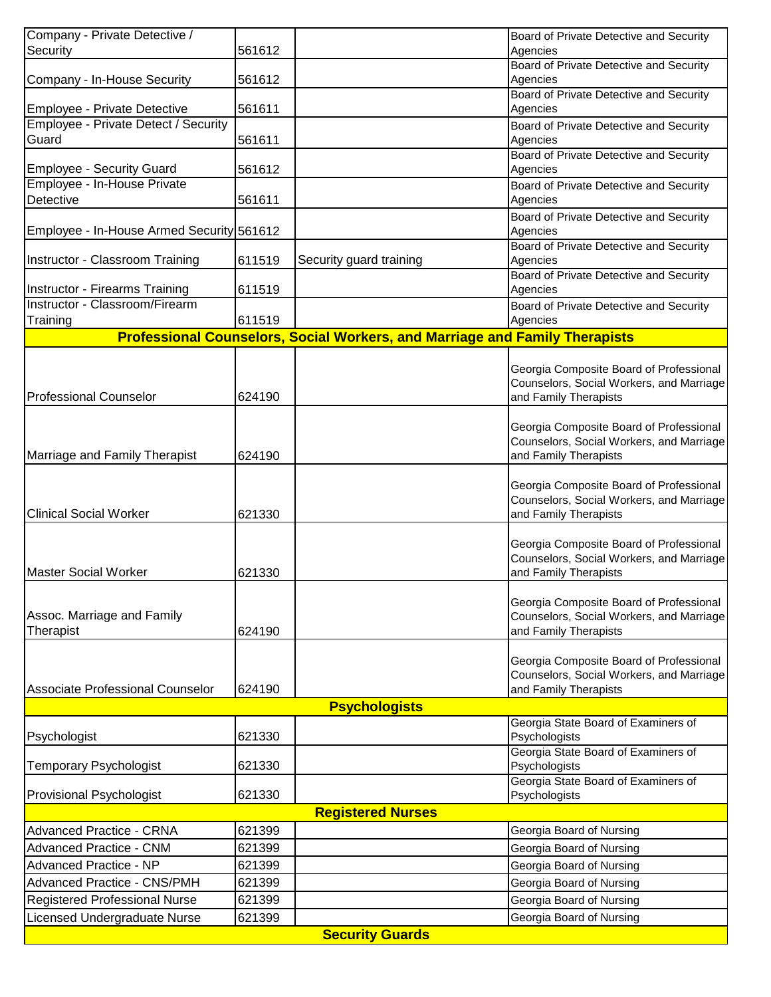| Company - Private Detective /             |        |                                                                                    | Board of Private Detective and Security                           |
|-------------------------------------------|--------|------------------------------------------------------------------------------------|-------------------------------------------------------------------|
| Security                                  | 561612 |                                                                                    | Agencies                                                          |
|                                           |        |                                                                                    | Board of Private Detective and Security                           |
| Company - In-House Security               | 561612 |                                                                                    | Agencies                                                          |
|                                           |        |                                                                                    | Board of Private Detective and Security                           |
| Employee - Private Detective              | 561611 |                                                                                    | Agencies                                                          |
| Employee - Private Detect / Security      |        |                                                                                    | Board of Private Detective and Security                           |
| Guard                                     | 561611 |                                                                                    | Agencies                                                          |
|                                           |        |                                                                                    | Board of Private Detective and Security                           |
| <b>Employee - Security Guard</b>          | 561612 |                                                                                    | Agencies                                                          |
| Employee - In-House Private               |        |                                                                                    | Board of Private Detective and Security                           |
| <b>Detective</b>                          | 561611 |                                                                                    | Agencies                                                          |
|                                           |        |                                                                                    | Board of Private Detective and Security                           |
| Employee - In-House Armed Security 561612 |        |                                                                                    | Agencies<br>Board of Private Detective and Security               |
| Instructor - Classroom Training           | 611519 | Security guard training                                                            | Agencies                                                          |
|                                           |        |                                                                                    | Board of Private Detective and Security                           |
| Instructor - Firearms Training            | 611519 |                                                                                    | Agencies                                                          |
| Instructor - Classroom/Firearm            |        |                                                                                    | Board of Private Detective and Security                           |
| Training                                  | 611519 |                                                                                    | Agencies                                                          |
|                                           |        | <b>Professional Counselors, Social Workers, and Marriage and Family Therapists</b> |                                                                   |
|                                           |        |                                                                                    |                                                                   |
|                                           |        |                                                                                    | Georgia Composite Board of Professional                           |
|                                           |        |                                                                                    | Counselors, Social Workers, and Marriage                          |
| <b>Professional Counselor</b>             | 624190 |                                                                                    | and Family Therapists                                             |
|                                           |        |                                                                                    |                                                                   |
|                                           |        |                                                                                    | Georgia Composite Board of Professional                           |
|                                           |        |                                                                                    | Counselors, Social Workers, and Marriage                          |
| Marriage and Family Therapist             | 624190 |                                                                                    | and Family Therapists                                             |
|                                           |        |                                                                                    |                                                                   |
|                                           |        |                                                                                    | Georgia Composite Board of Professional                           |
|                                           |        |                                                                                    | Counselors, Social Workers, and Marriage                          |
| <b>Clinical Social Worker</b>             | 621330 |                                                                                    | and Family Therapists                                             |
|                                           |        |                                                                                    |                                                                   |
|                                           |        |                                                                                    | Georgia Composite Board of Professional                           |
| <b>Master Social Worker</b>               | 621330 |                                                                                    | Counselors, Social Workers, and Marriage<br>and Family Therapists |
|                                           |        |                                                                                    |                                                                   |
|                                           |        |                                                                                    | Georgia Composite Board of Professional                           |
| Assoc. Marriage and Family                |        |                                                                                    | Counselors, Social Workers, and Marriage                          |
| Therapist                                 | 624190 |                                                                                    | and Family Therapists                                             |
|                                           |        |                                                                                    |                                                                   |
|                                           |        |                                                                                    | Georgia Composite Board of Professional                           |
|                                           |        |                                                                                    | Counselors, Social Workers, and Marriage                          |
| Associate Professional Counselor          | 624190 |                                                                                    | and Family Therapists                                             |
|                                           |        | <b>Psychologists</b>                                                               |                                                                   |
|                                           |        |                                                                                    | Georgia State Board of Examiners of                               |
| Psychologist                              | 621330 |                                                                                    | Psychologists                                                     |
|                                           |        |                                                                                    | Georgia State Board of Examiners of                               |
| <b>Temporary Psychologist</b>             | 621330 |                                                                                    | Psychologists                                                     |
|                                           |        |                                                                                    | Georgia State Board of Examiners of                               |
| Provisional Psychologist                  | 621330 |                                                                                    | Psychologists                                                     |
|                                           |        | <b>Registered Nurses</b>                                                           |                                                                   |
| <b>Advanced Practice - CRNA</b>           | 621399 |                                                                                    | Georgia Board of Nursing                                          |
| <b>Advanced Practice - CNM</b>            | 621399 |                                                                                    | Georgia Board of Nursing                                          |
| Advanced Practice - NP                    | 621399 |                                                                                    | Georgia Board of Nursing                                          |
| <b>Advanced Practice - CNS/PMH</b>        | 621399 |                                                                                    | Georgia Board of Nursing                                          |
| <b>Registered Professional Nurse</b>      | 621399 |                                                                                    | Georgia Board of Nursing                                          |
|                                           |        |                                                                                    |                                                                   |
| Licensed Undergraduate Nurse              | 621399 |                                                                                    | Georgia Board of Nursing                                          |
|                                           |        | <b>Security Guards</b>                                                             |                                                                   |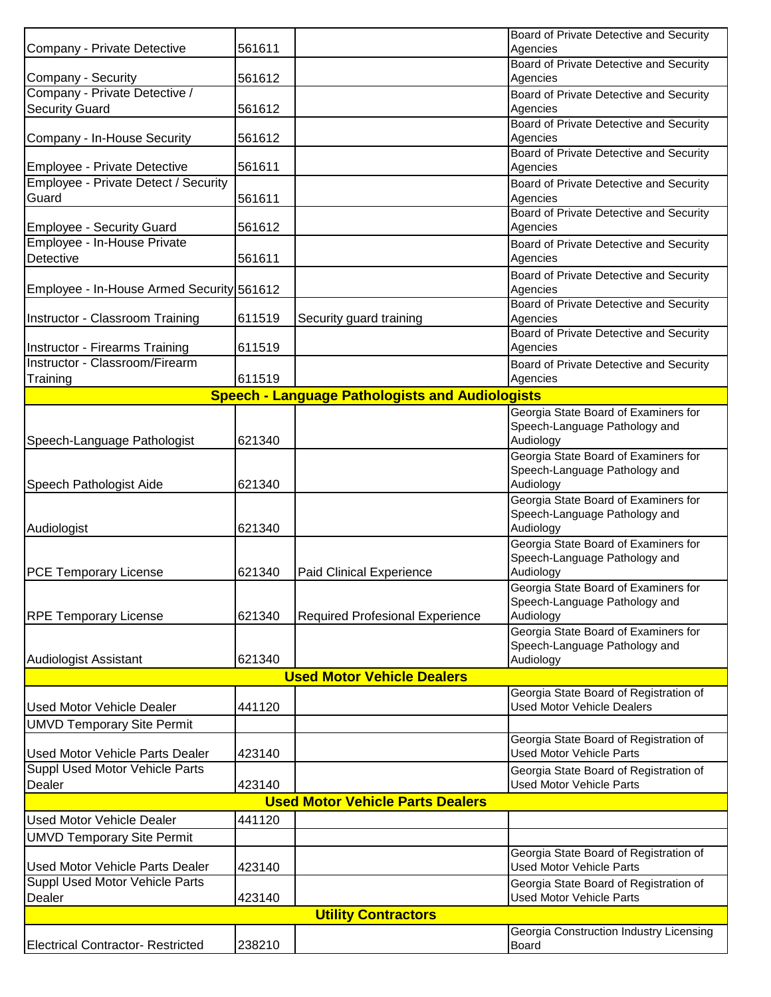|                                           |        |                                                        | Board of Private Detective and Security          |
|-------------------------------------------|--------|--------------------------------------------------------|--------------------------------------------------|
| Company - Private Detective               | 561611 |                                                        | Agencies                                         |
|                                           |        |                                                        | Board of Private Detective and Security          |
| Company - Security                        | 561612 |                                                        | Agencies                                         |
| Company - Private Detective /             |        |                                                        | Board of Private Detective and Security          |
| <b>Security Guard</b>                     | 561612 |                                                        | Agencies                                         |
|                                           |        |                                                        | Board of Private Detective and Security          |
| Company - In-House Security               | 561612 |                                                        | Agencies                                         |
|                                           |        |                                                        | Board of Private Detective and Security          |
| Employee - Private Detective              | 561611 |                                                        | Agencies                                         |
| Employee - Private Detect / Security      |        |                                                        | Board of Private Detective and Security          |
| Guard                                     | 561611 |                                                        | Agencies                                         |
|                                           |        |                                                        | Board of Private Detective and Security          |
| <b>Employee - Security Guard</b>          | 561612 |                                                        | Agencies                                         |
| Employee - In-House Private               |        |                                                        | Board of Private Detective and Security          |
| Detective                                 | 561611 |                                                        | Agencies                                         |
|                                           |        |                                                        | Board of Private Detective and Security          |
| Employee - In-House Armed Security 561612 |        |                                                        | Agencies                                         |
|                                           |        |                                                        | Board of Private Detective and Security          |
| Instructor - Classroom Training           | 611519 | Security guard training                                | Agencies                                         |
|                                           |        |                                                        | Board of Private Detective and Security          |
| Instructor - Firearms Training            | 611519 |                                                        | Agencies                                         |
| Instructor - Classroom/Firearm            |        |                                                        | Board of Private Detective and Security          |
| Training                                  | 611519 |                                                        | Agencies                                         |
|                                           |        | <b>Speech - Language Pathologists and Audiologists</b> |                                                  |
|                                           |        |                                                        | Georgia State Board of Examiners for             |
|                                           |        |                                                        | Speech-Language Pathology and                    |
| Speech-Language Pathologist               | 621340 |                                                        | Audiology                                        |
|                                           |        |                                                        | Georgia State Board of Examiners for             |
|                                           |        |                                                        | Speech-Language Pathology and                    |
| Speech Pathologist Aide                   | 621340 |                                                        | Audiology                                        |
|                                           |        |                                                        | Georgia State Board of Examiners for             |
|                                           |        |                                                        | Speech-Language Pathology and                    |
| Audiologist                               | 621340 |                                                        | Audiology                                        |
|                                           |        |                                                        | Georgia State Board of Examiners for             |
|                                           |        |                                                        | Speech-Language Pathology and                    |
| <b>PCE Temporary License</b>              | 621340 | <b>Paid Clinical Experience</b>                        | Audiology                                        |
|                                           |        |                                                        | Georgia State Board of Examiners for             |
|                                           |        |                                                        |                                                  |
|                                           |        |                                                        |                                                  |
|                                           |        |                                                        | Speech-Language Pathology and                    |
|                                           | 621340 | <b>Required Profesional Experience</b>                 | Audiology                                        |
| <b>RPE Temporary License</b>              |        |                                                        | Georgia State Board of Examiners for             |
|                                           |        |                                                        | Speech-Language Pathology and                    |
| <b>Audiologist Assistant</b>              | 621340 |                                                        | Audiology                                        |
|                                           |        | <b>Used Motor Vehicle Dealers</b>                      |                                                  |
|                                           |        |                                                        | Georgia State Board of Registration of           |
| <b>Used Motor Vehicle Dealer</b>          | 441120 |                                                        | <b>Used Motor Vehicle Dealers</b>                |
| <b>UMVD Temporary Site Permit</b>         |        |                                                        |                                                  |
|                                           |        |                                                        | Georgia State Board of Registration of           |
| <b>Used Motor Vehicle Parts Dealer</b>    | 423140 |                                                        | <b>Used Motor Vehicle Parts</b>                  |
| <b>Suppl Used Motor Vehicle Parts</b>     |        |                                                        | Georgia State Board of Registration of           |
| Dealer                                    | 423140 |                                                        | <b>Used Motor Vehicle Parts</b>                  |
|                                           |        | <b>Used Motor Vehicle Parts Dealers</b>                |                                                  |
|                                           |        |                                                        |                                                  |
| <b>Used Motor Vehicle Dealer</b>          | 441120 |                                                        |                                                  |
| <b>UMVD Temporary Site Permit</b>         |        |                                                        |                                                  |
|                                           |        |                                                        | Georgia State Board of Registration of           |
| <b>Used Motor Vehicle Parts Dealer</b>    | 423140 |                                                        | <b>Used Motor Vehicle Parts</b>                  |
| Suppl Used Motor Vehicle Parts            |        |                                                        | Georgia State Board of Registration of           |
| Dealer                                    | 423140 |                                                        | <b>Used Motor Vehicle Parts</b>                  |
|                                           |        | <b>Utility Contractors</b>                             |                                                  |
| <b>Electrical Contractor- Restricted</b>  | 238210 |                                                        | Georgia Construction Industry Licensing<br>Board |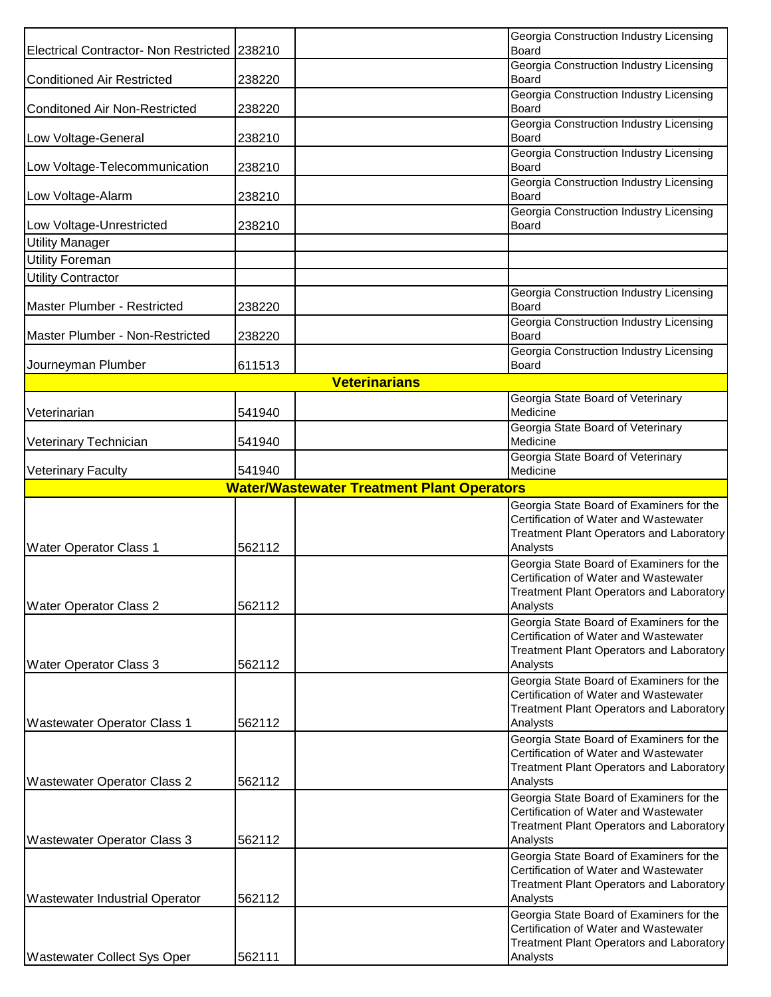| Electrical Contractor- Non Restricted   238210 |        |                                                   | Georgia Construction Industry Licensing<br>Board                                  |
|------------------------------------------------|--------|---------------------------------------------------|-----------------------------------------------------------------------------------|
|                                                |        |                                                   | Georgia Construction Industry Licensing                                           |
| <b>Conditioned Air Restricted</b>              | 238220 |                                                   | Board                                                                             |
| <b>Conditoned Air Non-Restricted</b>           | 238220 |                                                   | Georgia Construction Industry Licensing<br><b>Board</b>                           |
|                                                |        |                                                   | Georgia Construction Industry Licensing                                           |
| Low Voltage-General                            | 238210 |                                                   | Board<br>Georgia Construction Industry Licensing                                  |
| Low Voltage-Telecommunication                  | 238210 |                                                   | Board                                                                             |
| Low Voltage-Alarm                              | 238210 |                                                   | Georgia Construction Industry Licensing<br>Board                                  |
|                                                |        |                                                   | Georgia Construction Industry Licensing                                           |
| Low Voltage-Unrestricted                       | 238210 |                                                   | Board                                                                             |
| <b>Utility Manager</b>                         |        |                                                   |                                                                                   |
| <b>Utility Foreman</b>                         |        |                                                   |                                                                                   |
| <b>Utility Contractor</b>                      |        |                                                   |                                                                                   |
| Master Plumber - Restricted                    | 238220 |                                                   | Georgia Construction Industry Licensing<br>Board                                  |
|                                                |        |                                                   | Georgia Construction Industry Licensing                                           |
| Master Plumber - Non-Restricted                | 238220 |                                                   | Board<br>Georgia Construction Industry Licensing                                  |
| Journeyman Plumber                             | 611513 |                                                   | Board                                                                             |
|                                                |        | <b>Veterinarians</b>                              |                                                                                   |
|                                                |        |                                                   | Georgia State Board of Veterinary                                                 |
| Veterinarian                                   | 541940 |                                                   | Medicine                                                                          |
| Veterinary Technician                          | 541940 |                                                   | Georgia State Board of Veterinary<br>Medicine                                     |
|                                                |        |                                                   | Georgia State Board of Veterinary                                                 |
| <b>Veterinary Faculty</b>                      | 541940 |                                                   | Medicine                                                                          |
|                                                |        | <b>Water/Wastewater Treatment Plant Operators</b> |                                                                                   |
|                                                |        |                                                   | Georgia State Board of Examiners for the<br>Certification of Water and Wastewater |
|                                                |        |                                                   | Treatment Plant Operators and Laboratory                                          |
| <b>Water Operator Class 1</b>                  | 562112 |                                                   | Analysts                                                                          |
|                                                |        |                                                   | Georgia State Board of Examiners for the<br>Certification of Water and Wastewater |
|                                                |        |                                                   | Treatment Plant Operators and Laboratory                                          |
| <b>Water Operator Class 2</b>                  | 562112 |                                                   | Analysts                                                                          |
|                                                |        |                                                   | Georgia State Board of Examiners for the<br>Certification of Water and Wastewater |
|                                                |        |                                                   | Treatment Plant Operators and Laboratory                                          |
| <b>Water Operator Class 3</b>                  | 562112 |                                                   | Analysts                                                                          |
|                                                |        |                                                   | Georgia State Board of Examiners for the<br>Certification of Water and Wastewater |
|                                                |        |                                                   | Treatment Plant Operators and Laboratory                                          |
| <b>Wastewater Operator Class 1</b>             | 562112 |                                                   | Analysts                                                                          |
|                                                |        |                                                   | Georgia State Board of Examiners for the                                          |
|                                                |        |                                                   | Certification of Water and Wastewater<br>Treatment Plant Operators and Laboratory |
| <b>Wastewater Operator Class 2</b>             | 562112 |                                                   | Analysts                                                                          |
|                                                |        |                                                   | Georgia State Board of Examiners for the                                          |
|                                                |        |                                                   | Certification of Water and Wastewater                                             |
| <b>Wastewater Operator Class 3</b>             | 562112 |                                                   | Treatment Plant Operators and Laboratory<br>Analysts                              |
|                                                |        |                                                   | Georgia State Board of Examiners for the                                          |
|                                                |        |                                                   | Certification of Water and Wastewater                                             |
| <b>Wastewater Industrial Operator</b>          | 562112 |                                                   | Treatment Plant Operators and Laboratory<br>Analysts                              |
|                                                |        |                                                   | Georgia State Board of Examiners for the                                          |
|                                                |        |                                                   | Certification of Water and Wastewater                                             |
|                                                |        |                                                   | Treatment Plant Operators and Laboratory                                          |
| <b>Wastewater Collect Sys Oper</b>             | 562111 |                                                   | Analysts                                                                          |